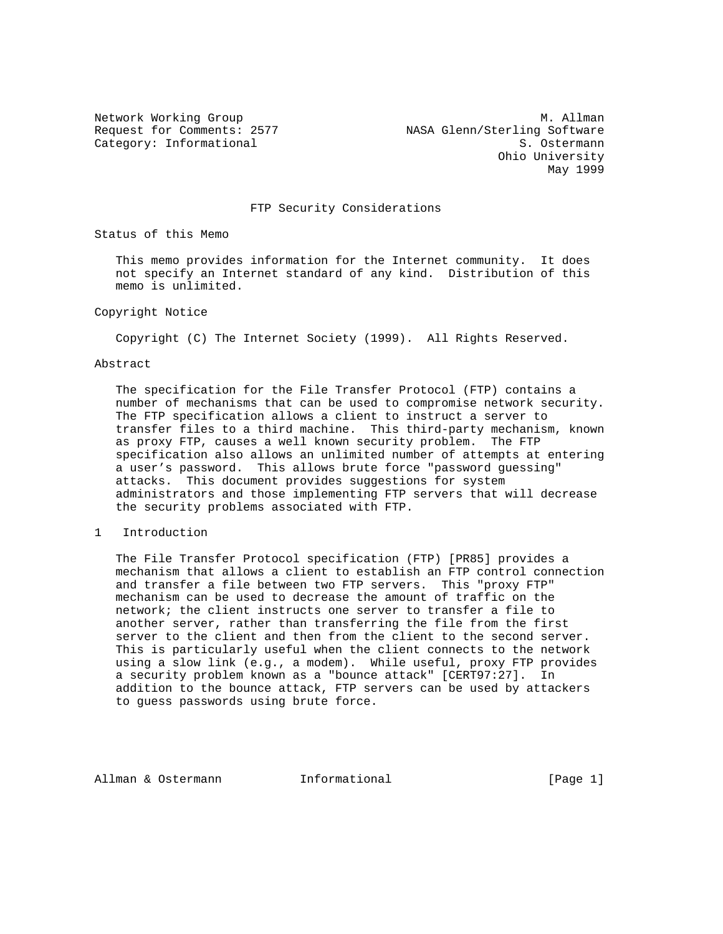Network Working Group and Month Communications of M. Allman Request for Comments: 2577 NASA Glenn/Sterling Software Category: Informational S. Ostermann Ohio University May 1999

## FTP Security Considerations

Status of this Memo

 This memo provides information for the Internet community. It does not specify an Internet standard of any kind. Distribution of this memo is unlimited.

## Copyright Notice

Copyright (C) The Internet Society (1999). All Rights Reserved.

#### Abstract

 The specification for the File Transfer Protocol (FTP) contains a number of mechanisms that can be used to compromise network security. The FTP specification allows a client to instruct a server to transfer files to a third machine. This third-party mechanism, known as proxy FTP, causes a well known security problem. The FTP specification also allows an unlimited number of attempts at entering a user's password. This allows brute force "password guessing" attacks. This document provides suggestions for system administrators and those implementing FTP servers that will decrease the security problems associated with FTP.

# 1 Introduction

 The File Transfer Protocol specification (FTP) [PR85] provides a mechanism that allows a client to establish an FTP control connection and transfer a file between two FTP servers. This "proxy FTP" mechanism can be used to decrease the amount of traffic on the network; the client instructs one server to transfer a file to another server, rather than transferring the file from the first server to the client and then from the client to the second server. This is particularly useful when the client connects to the network using a slow link (e.g., a modem). While useful, proxy FTP provides a security problem known as a "bounce attack" [CERT97:27]. In addition to the bounce attack, FTP servers can be used by attackers to guess passwords using brute force.

Allman & Ostermann and Informational (Page 1)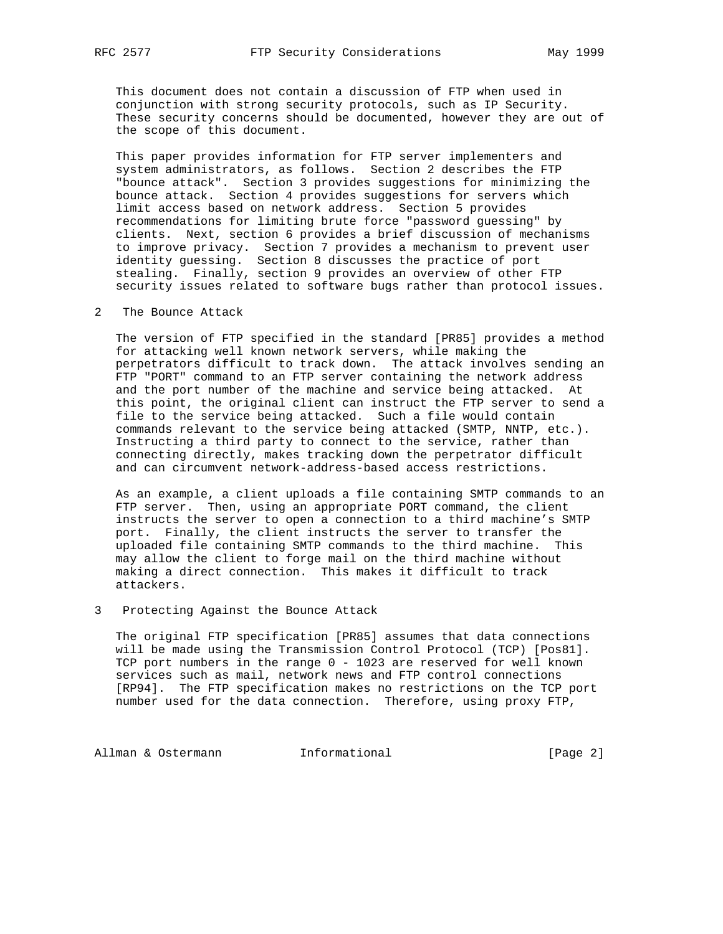This document does not contain a discussion of FTP when used in conjunction with strong security protocols, such as IP Security. These security concerns should be documented, however they are out of the scope of this document.

 This paper provides information for FTP server implementers and system administrators, as follows. Section 2 describes the FTP "bounce attack". Section 3 provides suggestions for minimizing the bounce attack. Section 4 provides suggestions for servers which limit access based on network address. Section 5 provides recommendations for limiting brute force "password guessing" by clients. Next, section 6 provides a brief discussion of mechanisms to improve privacy. Section 7 provides a mechanism to prevent user identity guessing. Section 8 discusses the practice of port stealing. Finally, section 9 provides an overview of other FTP security issues related to software bugs rather than protocol issues.

2 The Bounce Attack

 The version of FTP specified in the standard [PR85] provides a method for attacking well known network servers, while making the perpetrators difficult to track down. The attack involves sending an FTP "PORT" command to an FTP server containing the network address and the port number of the machine and service being attacked. At this point, the original client can instruct the FTP server to send a file to the service being attacked. Such a file would contain commands relevant to the service being attacked (SMTP, NNTP, etc.). Instructing a third party to connect to the service, rather than connecting directly, makes tracking down the perpetrator difficult and can circumvent network-address-based access restrictions.

 As an example, a client uploads a file containing SMTP commands to an FTP server. Then, using an appropriate PORT command, the client instructs the server to open a connection to a third machine's SMTP port. Finally, the client instructs the server to transfer the uploaded file containing SMTP commands to the third machine. This may allow the client to forge mail on the third machine without making a direct connection. This makes it difficult to track attackers.

3 Protecting Against the Bounce Attack

 The original FTP specification [PR85] assumes that data connections will be made using the Transmission Control Protocol (TCP) [Pos81]. TCP port numbers in the range 0 - 1023 are reserved for well known services such as mail, network news and FTP control connections [RP94]. The FTP specification makes no restrictions on the TCP port number used for the data connection. Therefore, using proxy FTP,

Allman & Ostermann Manuel Informational (Page 2)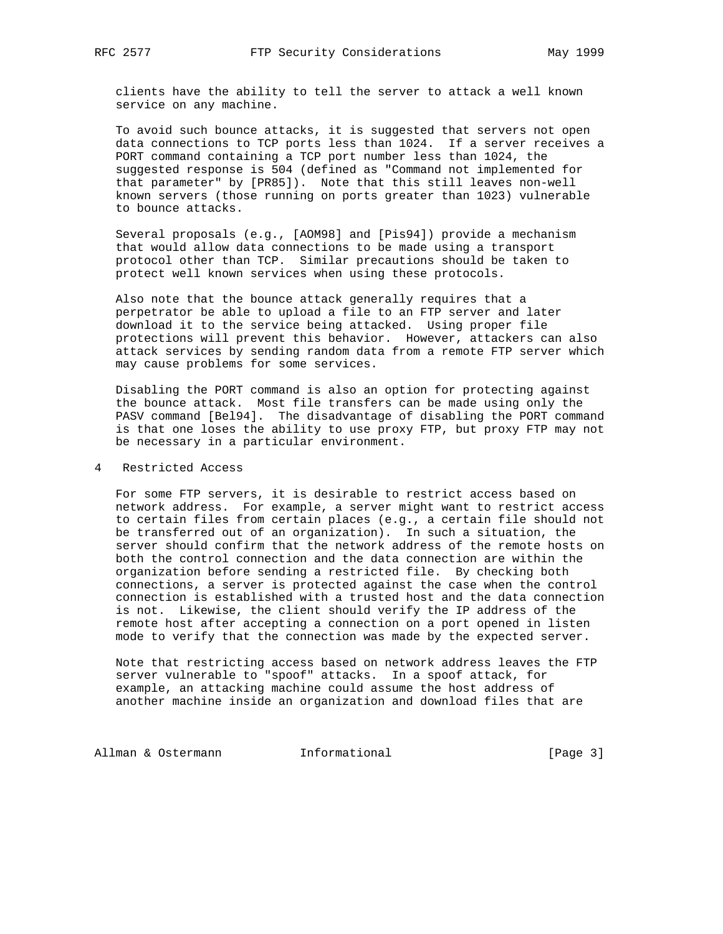clients have the ability to tell the server to attack a well known service on any machine.

 To avoid such bounce attacks, it is suggested that servers not open data connections to TCP ports less than 1024. If a server receives a PORT command containing a TCP port number less than 1024, the suggested response is 504 (defined as "Command not implemented for that parameter" by [PR85]). Note that this still leaves non-well known servers (those running on ports greater than 1023) vulnerable to bounce attacks.

 Several proposals (e.g., [AOM98] and [Pis94]) provide a mechanism that would allow data connections to be made using a transport protocol other than TCP. Similar precautions should be taken to protect well known services when using these protocols.

 Also note that the bounce attack generally requires that a perpetrator be able to upload a file to an FTP server and later download it to the service being attacked. Using proper file protections will prevent this behavior. However, attackers can also attack services by sending random data from a remote FTP server which may cause problems for some services.

 Disabling the PORT command is also an option for protecting against the bounce attack. Most file transfers can be made using only the PASV command [Bel94]. The disadvantage of disabling the PORT command is that one loses the ability to use proxy FTP, but proxy FTP may not be necessary in a particular environment.

## 4 Restricted Access

 For some FTP servers, it is desirable to restrict access based on network address. For example, a server might want to restrict access to certain files from certain places (e.g., a certain file should not be transferred out of an organization). In such a situation, the server should confirm that the network address of the remote hosts on both the control connection and the data connection are within the organization before sending a restricted file. By checking both connections, a server is protected against the case when the control connection is established with a trusted host and the data connection is not. Likewise, the client should verify the IP address of the remote host after accepting a connection on a port opened in listen mode to verify that the connection was made by the expected server.

 Note that restricting access based on network address leaves the FTP server vulnerable to "spoof" attacks. In a spoof attack, for example, an attacking machine could assume the host address of another machine inside an organization and download files that are

Allman & Ostermann and Informational [Page 3]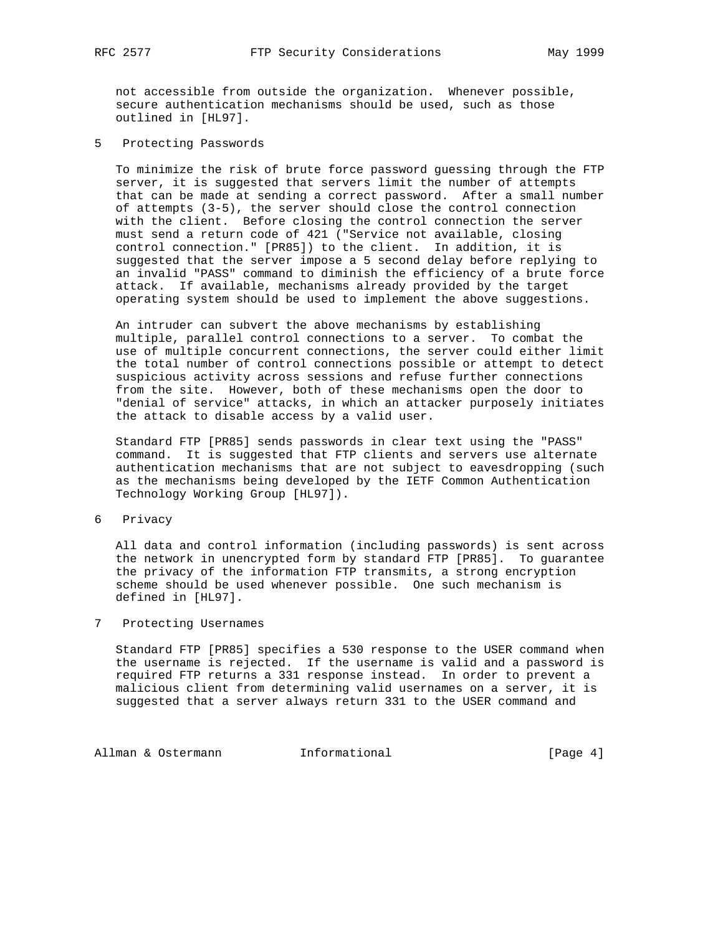not accessible from outside the organization. Whenever possible, secure authentication mechanisms should be used, such as those outlined in [HL97].

5 Protecting Passwords

 To minimize the risk of brute force password guessing through the FTP server, it is suggested that servers limit the number of attempts that can be made at sending a correct password. After a small number of attempts (3-5), the server should close the control connection with the client. Before closing the control connection the server must send a return code of 421 ("Service not available, closing control connection." [PR85]) to the client. In addition, it is suggested that the server impose a 5 second delay before replying to an invalid "PASS" command to diminish the efficiency of a brute force attack. If available, mechanisms already provided by the target operating system should be used to implement the above suggestions.

 An intruder can subvert the above mechanisms by establishing multiple, parallel control connections to a server. To combat the use of multiple concurrent connections, the server could either limit the total number of control connections possible or attempt to detect suspicious activity across sessions and refuse further connections from the site. However, both of these mechanisms open the door to "denial of service" attacks, in which an attacker purposely initiates the attack to disable access by a valid user.

 Standard FTP [PR85] sends passwords in clear text using the "PASS" command. It is suggested that FTP clients and servers use alternate authentication mechanisms that are not subject to eavesdropping (such as the mechanisms being developed by the IETF Common Authentication Technology Working Group [HL97]).

6 Privacy

 All data and control information (including passwords) is sent across the network in unencrypted form by standard FTP [PR85]. To guarantee the privacy of the information FTP transmits, a strong encryption scheme should be used whenever possible. One such mechanism is defined in [HL97].

# 7 Protecting Usernames

 Standard FTP [PR85] specifies a 530 response to the USER command when the username is rejected. If the username is valid and a password is required FTP returns a 331 response instead. In order to prevent a malicious client from determining valid usernames on a server, it is suggested that a server always return 331 to the USER command and

Allman & Ostermann Manuel Informational (Page 4)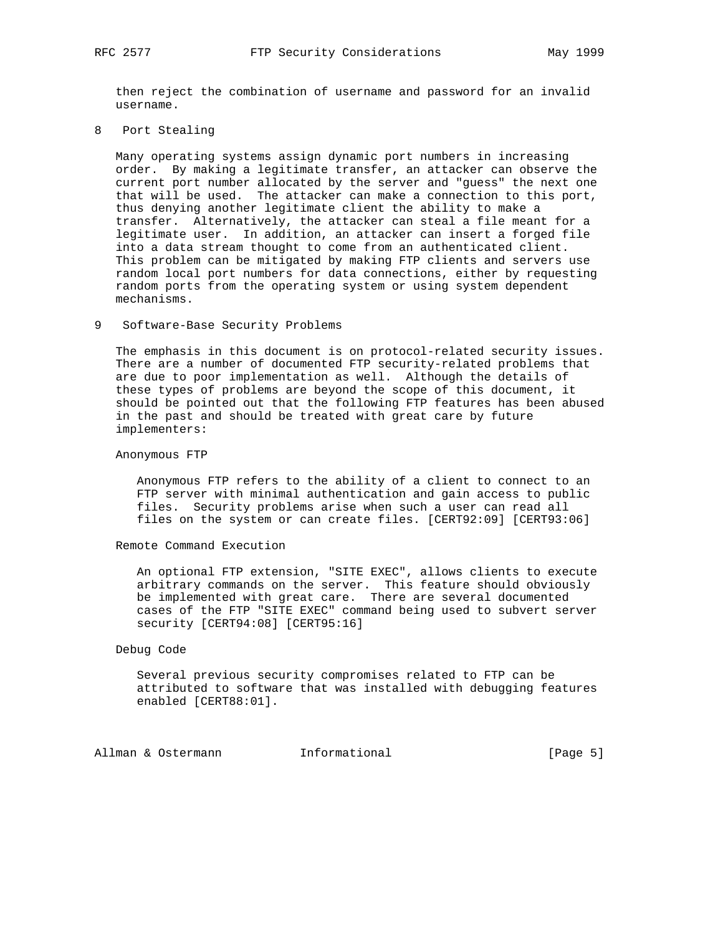then reject the combination of username and password for an invalid username.

8 Port Stealing

 Many operating systems assign dynamic port numbers in increasing order. By making a legitimate transfer, an attacker can observe the current port number allocated by the server and "guess" the next one that will be used. The attacker can make a connection to this port, thus denying another legitimate client the ability to make a transfer. Alternatively, the attacker can steal a file meant for a legitimate user. In addition, an attacker can insert a forged file into a data stream thought to come from an authenticated client. This problem can be mitigated by making FTP clients and servers use random local port numbers for data connections, either by requesting random ports from the operating system or using system dependent mechanisms.

### 9 Software-Base Security Problems

 The emphasis in this document is on protocol-related security issues. There are a number of documented FTP security-related problems that are due to poor implementation as well. Although the details of these types of problems are beyond the scope of this document, it should be pointed out that the following FTP features has been abused in the past and should be treated with great care by future implementers:

### Anonymous FTP

 Anonymous FTP refers to the ability of a client to connect to an FTP server with minimal authentication and gain access to public files. Security problems arise when such a user can read all files on the system or can create files. [CERT92:09] [CERT93:06]

### Remote Command Execution

 An optional FTP extension, "SITE EXEC", allows clients to execute arbitrary commands on the server. This feature should obviously be implemented with great care. There are several documented cases of the FTP "SITE EXEC" command being used to subvert server security [CERT94:08] [CERT95:16]

#### Debug Code

 Several previous security compromises related to FTP can be attributed to software that was installed with debugging features enabled [CERT88:01].

Allman & Ostermann and Informational (Page 5)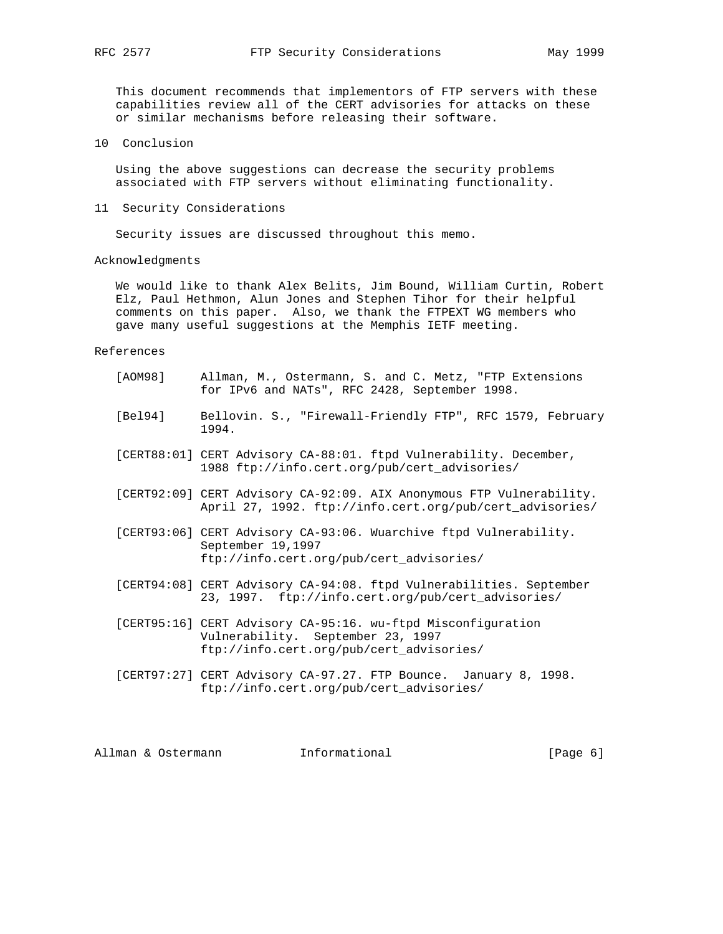This document recommends that implementors of FTP servers with these capabilities review all of the CERT advisories for attacks on these or similar mechanisms before releasing their software.

10 Conclusion

 Using the above suggestions can decrease the security problems associated with FTP servers without eliminating functionality.

11 Security Considerations

Security issues are discussed throughout this memo.

### Acknowledgments

 We would like to thank Alex Belits, Jim Bound, William Curtin, Robert Elz, Paul Hethmon, Alun Jones and Stephen Tihor for their helpful comments on this paper. Also, we thank the FTPEXT WG members who gave many useful suggestions at the Memphis IETF meeting.

#### References

| [AOM98]            | for IPv6 and NATs", RFC 2428, September 1998.                                 | Allman, M., Ostermann, S. and C. Metz, "FTP Extensions                                                                           |          |
|--------------------|-------------------------------------------------------------------------------|----------------------------------------------------------------------------------------------------------------------------------|----------|
| [Be194]            | 1994.                                                                         | Bellovin. S., "Firewall-Friendly FTP", RFC 1579, February                                                                        |          |
|                    | 1988 ftp://info.cert.org/pub/cert advisories/                                 | [CERT88:01] CERT Advisory CA-88:01. ftpd Vulnerability. December,                                                                |          |
|                    |                                                                               | [CERT92:09] CERT Advisory CA-92:09. AIX Anonymous FTP Vulnerability.<br>April 27, 1992. ftp://info.cert.org/pub/cert_advisories/ |          |
|                    | September 19,1997<br>ftp://info.cert.org/pub/cert_advisories/                 | [CERT93:06] CERT Advisory CA-93:06. Wuarchive ftpd Vulnerability.                                                                |          |
|                    |                                                                               | [CERT94:08] CERT Advisory CA-94:08. ftpd Vulnerabilities. September<br>23, 1997. ftp://info.cert.org/pub/cert_advisories/        |          |
|                    | Vulnerability. September 23, 1997<br>ftp://info.cert.org/pub/cert_advisories/ | [CERT95:16] CERT Advisory CA-95:16. wu-ftpd Misconfiguration                                                                     |          |
|                    | ftp://info.cert.org/pub/cert advisories/                                      | [CERT97:27] CERT Advisory CA-97.27. FTP Bounce. January 8, 1998.                                                                 |          |
| Allman & Ostermann | Informational                                                                 |                                                                                                                                  | [Page 6] |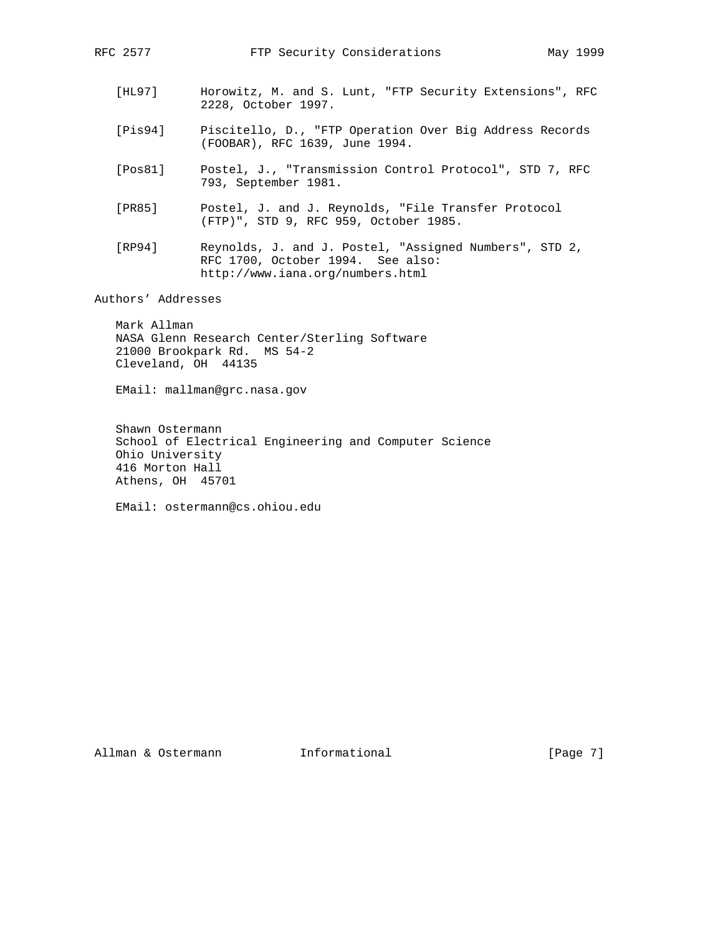- [HL97] Horowitz, M. and S. Lunt, "FTP Security Extensions", RFC 2228, October 1997.
- [Pis94] Piscitello, D., "FTP Operation Over Big Address Records (FOOBAR), RFC 1639, June 1994.
- [Pos81] Postel, J., "Transmission Control Protocol", STD 7, RFC 793, September 1981.
- [PR85] Postel, J. and J. Reynolds, "File Transfer Protocol (FTP)", STD 9, RFC 959, October 1985.
- [RP94] Reynolds, J. and J. Postel, "Assigned Numbers", STD 2, RFC 1700, October 1994. See also: http://www.iana.org/numbers.html

Authors' Addresses

 Mark Allman NASA Glenn Research Center/Sterling Software 21000 Brookpark Rd. MS 54-2 Cleveland, OH 44135

EMail: mallman@grc.nasa.gov

 Shawn Ostermann School of Electrical Engineering and Computer Science Ohio University 416 Morton Hall Athens, OH 45701

EMail: ostermann@cs.ohiou.edu